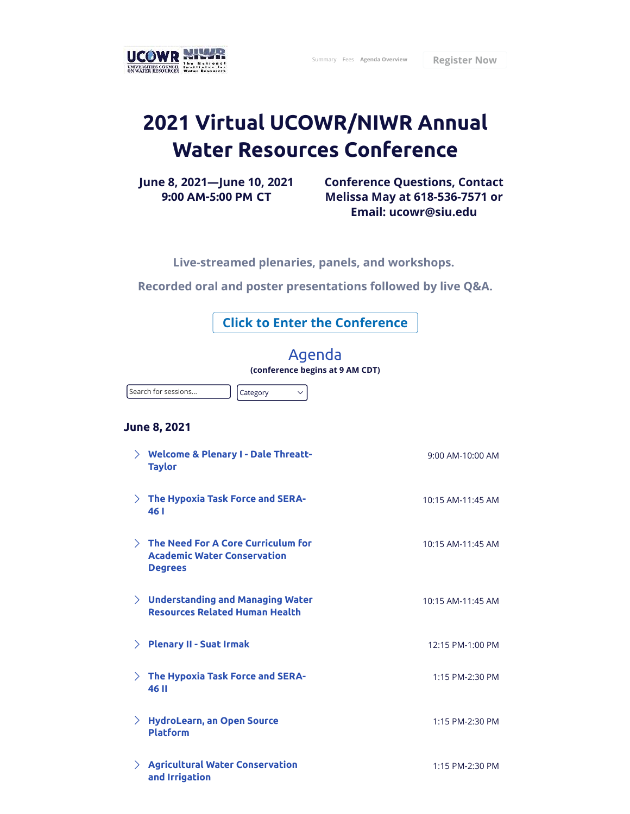

## **2021 Virtual UCOWR/NIWR Annual Water Resources Conference**

**June 8, 2021—June 10, 2021 9:00 AM-5:00 PM CT**

**Conference Questions, Contact Melissa May at 618-536-7571 or Email: ucowr@siu.edu**

**Live-streamed plenaries, panels, and workshops.** 

**Recorded oral and poster presentations followed by live Q&A.**

**Click to Enter the Conference**

## Agenda

**(conference begins at 9 AM CDT)**

Search for sessions...

Category  $\vee$ 

## **June 8, 2021**

|        | $\angle$ Welcome & Plenary I - Dale Threatt-<br><b>Taylor</b>                                       | 9:00 AM-10:00 AM  |
|--------|-----------------------------------------------------------------------------------------------------|-------------------|
|        | $\angle$ The Hypoxia Task Force and SERA-<br>461                                                    | 10:15 AM-11:45 AM |
|        | $\angle$ The Need For A Core Curriculum for<br><b>Academic Water Conservation</b><br><b>Degrees</b> | 10:15 AM-11:45 AM |
|        | $\angle$ Understanding and Managing Water<br><b>Resources Related Human Health</b>                  | 10:15 AM-11:45 AM |
| $\sum$ | <b>Plenary II - Suat Irmak</b>                                                                      | 12:15 PM-1:00 PM  |
|        | $>$ The Hypoxia Task Force and SERA-<br><b>46 II</b>                                                | 1:15 PM-2:30 PM   |
| $\sum$ | <b>HydroLearn, an Open Source</b><br><b>Platform</b>                                                | 1:15 PM-2:30 PM   |
|        | $\angle$ Agricultural Water Conservation<br>and Irrigation                                          | 1:15 PM-2:30 PM   |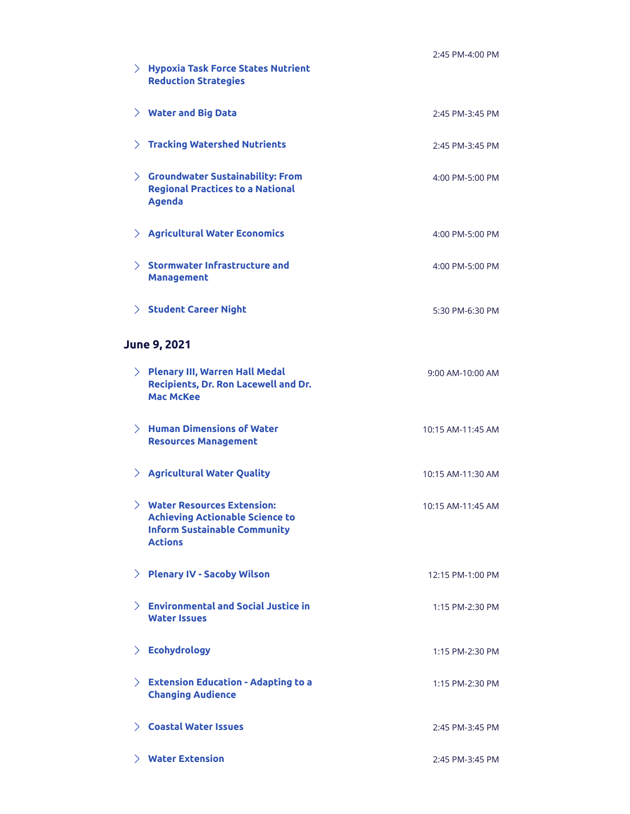|        | $>$ Hypoxia Task Force States Nutrient                                                                                                 | 2:45 PM-4:00 PM   |
|--------|----------------------------------------------------------------------------------------------------------------------------------------|-------------------|
|        | <b>Reduction Strategies</b>                                                                                                            |                   |
|        | $\angle$ Water and Big Data                                                                                                            | 2:45 PM-3:45 PM   |
|        | $>$ Tracking Watershed Nutrients                                                                                                       | 2:45 PM-3:45 PM   |
| $\sum$ | <b>Groundwater Sustainability: From</b><br><b>Regional Practices to a National</b><br><b>Agenda</b>                                    | 4:00 PM-5:00 PM   |
|        | $\angle$ Agricultural Water Economics                                                                                                  | 4:00 PM-5:00 PM   |
|        | $\angle$ Stormwater Infrastructure and<br><b>Management</b>                                                                            | 4:00 PM-5:00 PM   |
|        | $>$ Student Career Night                                                                                                               | 5:30 PM-6:30 PM   |
|        | <b>June 9, 2021</b>                                                                                                                    |                   |
|        | $\angle$ Plenary III, Warren Hall Medal<br>Recipients, Dr. Ron Lacewell and Dr.<br><b>Mac McKee</b>                                    | 9:00 AM-10:00 AM  |
|        | $\angle$ Human Dimensions of Water<br><b>Resources Management</b>                                                                      | 10:15 AM-11:45 AM |
|        | $>$ Agricultural Water Quality                                                                                                         | 10:15 AM-11:30 AM |
|        | $\angle$ Water Resources Extension:<br><b>Achieving Actionable Science to</b><br><b>Inform Sustainable Community</b><br><b>Actions</b> | 10:15 AM-11:45 AM |
|        | > Plenary IV - Sacoby Wilson                                                                                                           | 12:15 PM-1:00 PM  |
|        | $\angle$ Environmental and Social Justice in<br><b>Water Issues</b>                                                                    | 1:15 PM-2:30 PM   |
| $\sum$ | <b>Ecohydrology</b>                                                                                                                    | 1:15 PM-2:30 PM   |
|        | $\angle$ Extension Education - Adapting to a<br><b>Changing Audience</b>                                                               | 1:15 PM-2:30 PM   |
|        | $\angle$ Coastal Water Issues                                                                                                          | 2:45 PM-3:45 PM   |
|        | $\angle$ Water Extension                                                                                                               | 2:45 PM-3:45 PM   |